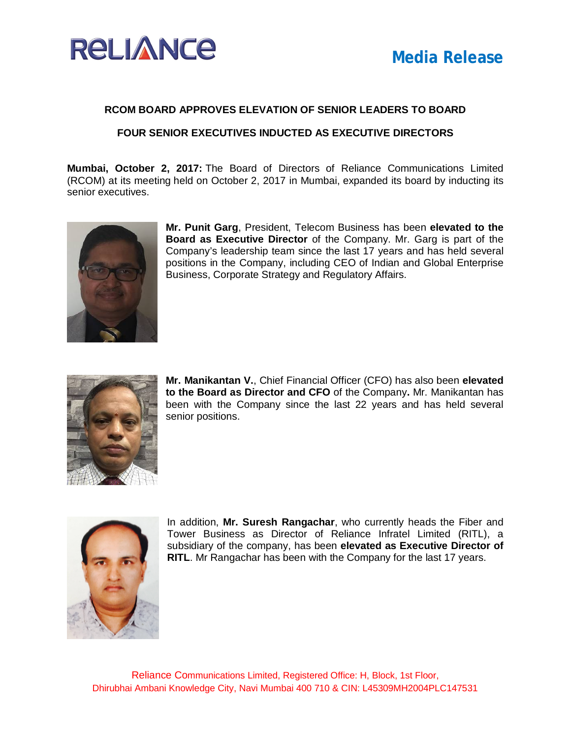

## **RCOM BOARD APPROVES ELEVATION OF SENIOR LEADERS TO BOARD**

**FOUR SENIOR EXECUTIVES INDUCTED AS EXECUTIVE DIRECTORS**

**Mumbai, October 2, 2017:** The Board of Directors of Reliance Communications Limited (RCOM) at its meeting held on October 2, 2017 in Mumbai, expanded its board by inducting its senior executives.



**Mr. Punit Garg**, President, Telecom Business has been **elevated to the Board as Executive Director** of the Company. Mr. Garg is part of the Company's leadership team since the last 17 years and has held several positions in the Company, including CEO of Indian and Global Enterprise Business, Corporate Strategy and Regulatory Affairs.



**Mr. Manikantan V.**, Chief Financial Officer (CFO) has also been **elevated to the Board as Director and CFO** of the Company**.** Mr. Manikantan has been with the Company since the last 22 years and has held several senior positions.



In addition, **Mr. Suresh Rangachar**, who currently heads the Fiber and Tower Business as Director of Reliance Infratel Limited (RITL), a subsidiary of the company, has been **elevated as Executive Director of RITL**. Mr Rangachar has been with the Company for the last 17 years.